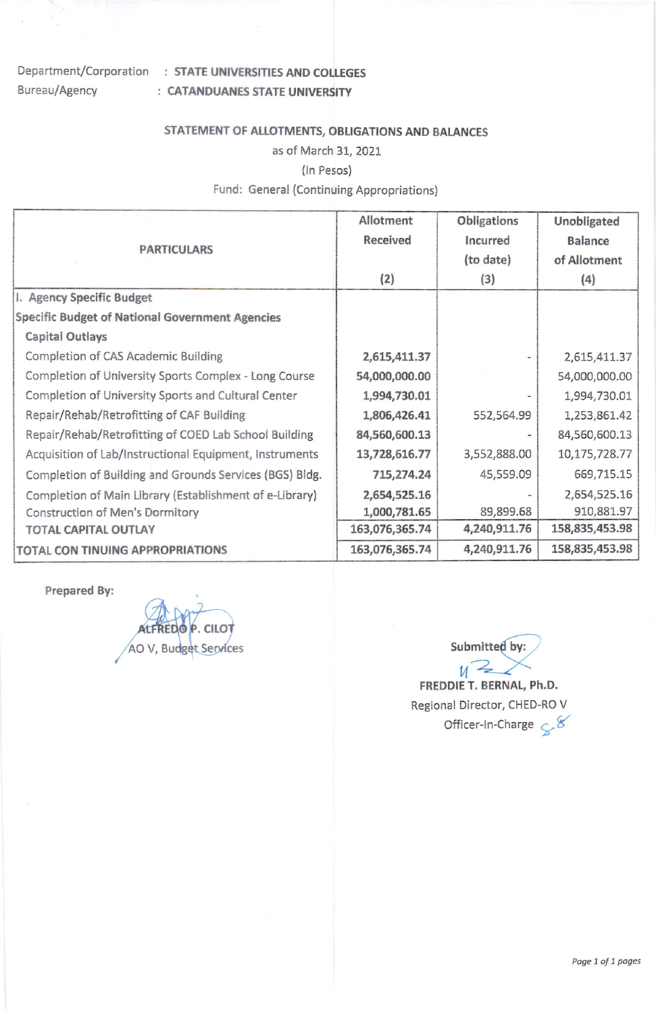# Bureau/Agency

## Department/Corporation : STATE UNIVERSITIES AND COLLEGES : CATANDUANES STATE UNIVERSITY

## STATEMENT OF ALLOTMENTS, OBLIGATIONS AND BALANCES

#### as of March 31,2021

#### (In Pesos)

#### Fund: General (Continuing Appropriations)

| <b>PARTICULARS</b>                                      | Allotment      | Obligations  | Unobligated    |
|---------------------------------------------------------|----------------|--------------|----------------|
|                                                         | Received       | Incurred     | <b>Balance</b> |
|                                                         |                | (to date)    | of Allotment   |
|                                                         | (2)            | (3)          | (4)            |
| I. Agency Specific Budget                               |                |              |                |
| <b>Specific Budget of National Government Agencies</b>  |                |              |                |
| <b>Capital Outlays</b>                                  |                |              |                |
| Completion of CAS Academic Building                     | 2,615,411.37   |              | 2,615,411.37   |
| Completion of University Sports Complex - Long Course   | 54,000,000.00  |              | 54,000,000.00  |
| Completion of University Sports and Cultural Center     | 1,994,730.01   |              | 1,994,730.01   |
| Repair/Rehab/Retrofitting of CAF Building               | 1,806,426.41   | 552,564.99   | 1,253,861.42   |
| Repair/Rehab/Retrofitting of COED Lab School Building   | 84,560,600.13  |              | 84,560,600.13  |
| Acquisition of Lab/Instructional Equipment, Instruments | 13,728,616.77  | 3,552,888.00 | 10,175,728.77  |
| Completion of Building and Grounds Services (BGS) Bldg. | 715,274.24     | 45,559.09    | 669,715.15     |
| Completion of Main Library (Establishment of e-Library) | 2,654,525.16   |              | 2,654,525.16   |
| <b>Construction of Men's Dormitory</b>                  | 1,000,781.65   | 89,899.68    | 910,881.97     |
| <b>TOTAL CAPITAL OUTLAY</b>                             | 163,076,365.74 | 4,240,911.76 | 158,835,453.98 |
| TOTAL CON TINUING APPROPRIATIONS                        | 163,076,365.74 | 4,240,911.76 | 158,835,453.98 |

Prepared By:

AO V, Budget Services Submitted by:

 $\nu$ <sup>2</sup> FREDDIE T. BERNAL, Ph.D. Regional Director, CHED-RO V Officer-in-Charge  $\mathcal{L}^8$